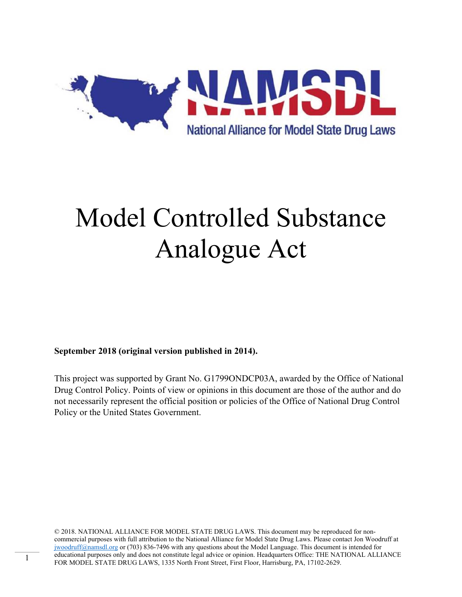

# Model Controlled Substance Analogue Act

**September 2018 (original version published in 2014).** 

This project was supported by Grant No. G1799ONDCP03A, awarded by the Office of National Drug Control Policy. Points of view or opinions in this document are those of the author and do not necessarily represent the official position or policies of the Office of National Drug Control Policy or the United States Government.

© 2018. NATIONAL ALLIANCE FOR MODEL STATE DRUG LAWS. This document may be reproduced for noncommercial purposes with full attribution to the National Alliance for Model State Drug Laws. Please contact Jon Woodruff at jwoodruff@namsdl.org or (703) 836-7496 with any questions about the Model Language. This document is intended for educational purposes only and does not constitute legal advice or opinion. Headquarters Office: THE NATIONAL ALLIANCE FOR MODEL STATE DRUG LAWS, 1335 North Front Street, First Floor, Harrisburg, PA, 17102-2629.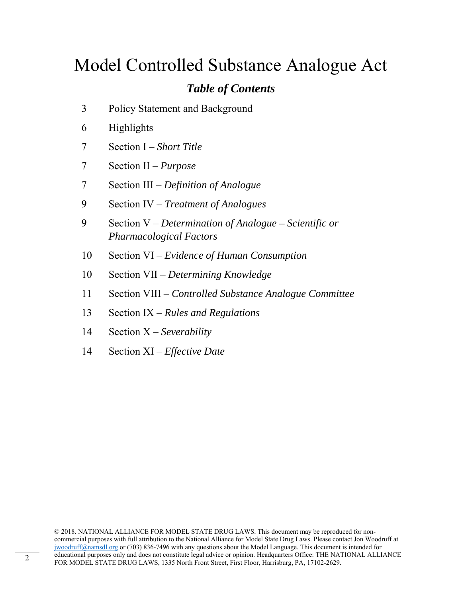# Model Controlled Substance Analogue Act

### *Table of Contents*

- 3 Policy Statement and Background
- 6 Highlights
- 7 Section I *Short Title*
- 7 Section II *Purpose*
- 7 Section III *Definition of Analogue*
- 9 Section IV *Treatment of Analogues*
- 9 Section V *Determination of Analogue Scientific or Pharmacological Factors*
- 10 Section VI *Evidence of Human Consumption*
- 10 Section VII *Determining Knowledge*
- 11 Section VIII *Controlled Substance Analogue Committee*
- 13 Section IX *Rules and Regulations*
- 14 Section X *Severability*
- 14 Section XI *Effective Date*

© 2018. NATIONAL ALLIANCE FOR MODEL STATE DRUG LAWS. This document may be reproduced for noncommercial purposes with full attribution to the National Alliance for Model State Drug Laws. Please contact Jon Woodruff at jwoodruff@namsdl.org or (703) 836-7496 with any questions about the Model Language. This document is intended for educational purposes only and does not constitute legal advice or opinion. Headquarters Office: THE NATIONAL ALLIANCE FOR MODEL STATE DRUG LAWS, 1335 North Front Street, First Floor, Harrisburg, PA, 17102-2629.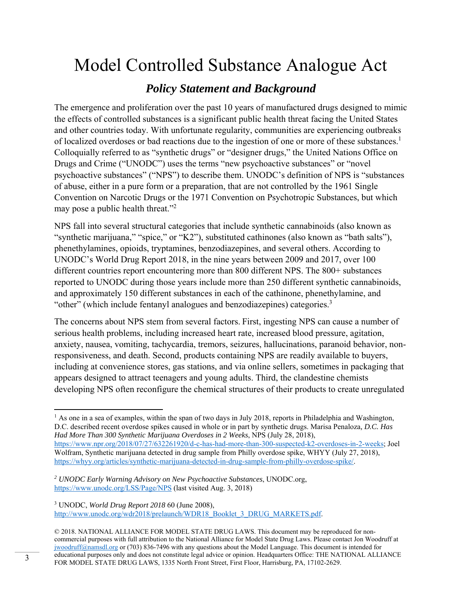# Model Controlled Substance Analogue Act

### *Policy Statement and Background*

The emergence and proliferation over the past 10 years of manufactured drugs designed to mimic the effects of controlled substances is a significant public health threat facing the United States and other countries today. With unfortunate regularity, communities are experiencing outbreaks of localized overdoses or bad reactions due to the ingestion of one or more of these substances.<sup>1</sup> Colloquially referred to as "synthetic drugs" or "designer drugs," the United Nations Office on Drugs and Crime ("UNODC") uses the terms "new psychoactive substances" or "novel psychoactive substances" ("NPS") to describe them. UNODC's definition of NPS is "substances of abuse, either in a pure form or a preparation, that are not controlled by the 1961 Single Convention on Narcotic Drugs or the 1971 Convention on Psychotropic Substances, but which may pose a public health threat."<sup>2</sup>

NPS fall into several structural categories that include synthetic cannabinoids (also known as "synthetic marijuana," "spice," or "K2"), substituted cathinones (also known as "bath salts"), phenethylamines, opioids, tryptamines, benzodiazepines, and several others. According to UNODC's World Drug Report 2018, in the nine years between 2009 and 2017, over 100 different countries report encountering more than 800 different NPS. The 800+ substances reported to UNODC during those years include more than 250 different synthetic cannabinoids, and approximately 150 different substances in each of the cathinone, phenethylamine, and "other" (which include fentanyl analogues and benzodiazepines) categories. $3$ 

The concerns about NPS stem from several factors. First, ingesting NPS can cause a number of serious health problems, including increased heart rate, increased blood pressure, agitation, anxiety, nausea, vomiting, tachycardia, tremors, seizures, hallucinations, paranoid behavior, nonresponsiveness, and death. Second, products containing NPS are readily available to buyers, including at convenience stores, gas stations, and via online sellers, sometimes in packaging that appears designed to attract teenagers and young adults. Third, the clandestine chemists developing NPS often reconfigure the chemical structures of their products to create unregulated

3 UNODC, *World Drug Report 2018* 60 (June 2008), http://www.unodc.org/wdr2018/prelaunch/WDR18\_Booklet\_3\_DRUG\_MARKETS.pdf.

  $<sup>1</sup>$  As one in a sea of examples, within the span of two days in July 2018, reports in Philadelphia and Washington,</sup> D.C. described recent overdose spikes caused in whole or in part by synthetic drugs. Marisa Penaloza*, D.C. Has Had More Than 300 Synthetic Marijuana Overdoses in 2 Weeks*, NPS (July 28, 2018), https://www.npr.org/2018/07/27/632261920/d-c-has-had-more-than-300-suspected-k2-overdoses-in-2-weeks; Joel Wolfram, Synthetic marijuana detected in drug sample from Philly overdose spike, WHYY (July 27, 2018), https://whyy.org/articles/synthetic-marijuana-detected-in-drug-sample-from-philly-overdose-spike/.

*<sup>2</sup> UNODC Early Warning Advisory on New Psychoactive Substances*, UNODC.org, https://www.unodc.org/LSS/Page/NPS (last visited Aug. 3, 2018)

<sup>© 2018.</sup> NATIONAL ALLIANCE FOR MODEL STATE DRUG LAWS. This document may be reproduced for noncommercial purposes with full attribution to the National Alliance for Model State Drug Laws. Please contact Jon Woodruff at jwoodruff@namsdl.org or (703) 836-7496 with any questions about the Model Language. This document is intended for educational purposes only and does not constitute legal advice or opinion. Headquarters Office: THE NATIONAL ALLIANCE FOR MODEL STATE DRUG LAWS, 1335 North Front Street, First Floor, Harrisburg, PA, 17102-2629.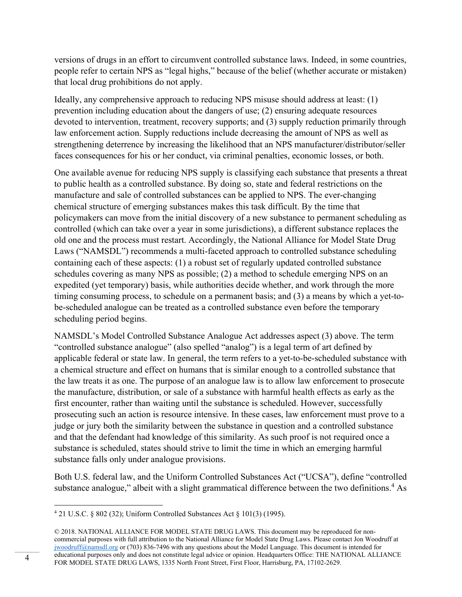versions of drugs in an effort to circumvent controlled substance laws. Indeed, in some countries, people refer to certain NPS as "legal highs," because of the belief (whether accurate or mistaken) that local drug prohibitions do not apply.

Ideally, any comprehensive approach to reducing NPS misuse should address at least: (1) prevention including education about the dangers of use; (2) ensuring adequate resources devoted to intervention, treatment, recovery supports; and (3) supply reduction primarily through law enforcement action. Supply reductions include decreasing the amount of NPS as well as strengthening deterrence by increasing the likelihood that an NPS manufacturer/distributor/seller faces consequences for his or her conduct, via criminal penalties, economic losses, or both.

One available avenue for reducing NPS supply is classifying each substance that presents a threat to public health as a controlled substance. By doing so, state and federal restrictions on the manufacture and sale of controlled substances can be applied to NPS. The ever-changing chemical structure of emerging substances makes this task difficult. By the time that policymakers can move from the initial discovery of a new substance to permanent scheduling as controlled (which can take over a year in some jurisdictions), a different substance replaces the old one and the process must restart. Accordingly, the National Alliance for Model State Drug Laws ("NAMSDL") recommends a multi-faceted approach to controlled substance scheduling containing each of these aspects: (1) a robust set of regularly updated controlled substance schedules covering as many NPS as possible; (2) a method to schedule emerging NPS on an expedited (yet temporary) basis, while authorities decide whether, and work through the more timing consuming process, to schedule on a permanent basis; and (3) a means by which a yet-tobe-scheduled analogue can be treated as a controlled substance even before the temporary scheduling period begins.

NAMSDL's Model Controlled Substance Analogue Act addresses aspect (3) above. The term "controlled substance analogue" (also spelled "analog") is a legal term of art defined by applicable federal or state law. In general, the term refers to a yet-to-be-scheduled substance with a chemical structure and effect on humans that is similar enough to a controlled substance that the law treats it as one. The purpose of an analogue law is to allow law enforcement to prosecute the manufacture, distribution, or sale of a substance with harmful health effects as early as the first encounter, rather than waiting until the substance is scheduled. However, successfully prosecuting such an action is resource intensive. In these cases, law enforcement must prove to a judge or jury both the similarity between the substance in question and a controlled substance and that the defendant had knowledge of this similarity. As such proof is not required once a substance is scheduled, states should strive to limit the time in which an emerging harmful substance falls only under analogue provisions.

Both U.S. federal law, and the Uniform Controlled Substances Act ("UCSA"), define "controlled substance analogue," albeit with a slight grammatical difference between the two definitions.<sup>4</sup> As

 4 21 U.S.C. § 802 (32); Uniform Controlled Substances Act § 101(3) (1995).

<sup>© 2018.</sup> NATIONAL ALLIANCE FOR MODEL STATE DRUG LAWS. This document may be reproduced for noncommercial purposes with full attribution to the National Alliance for Model State Drug Laws. Please contact Jon Woodruff at jwoodruff@namsdl.org or (703) 836-7496 with any questions about the Model Language. This document is intended for educational purposes only and does not constitute legal advice or opinion. Headquarters Office: THE NATIONAL ALLIANCE educational purposes only and does not constitute legal advice or opinion. Headquarters Office: THE NATE<br>FOR MODEL STATE DRUG LAWS, 1335 North Front Street, First Floor, Harrisburg, PA, 17102-2629.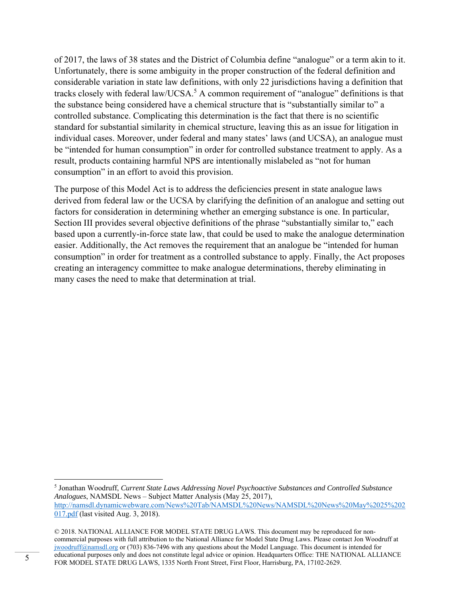of 2017, the laws of 38 states and the District of Columbia define "analogue" or a term akin to it. Unfortunately, there is some ambiguity in the proper construction of the federal definition and considerable variation in state law definitions, with only 22 jurisdictions having a definition that tracks closely with federal law/UCSA.<sup>5</sup> A common requirement of "analogue" definitions is that the substance being considered have a chemical structure that is "substantially similar to" a controlled substance. Complicating this determination is the fact that there is no scientific standard for substantial similarity in chemical structure, leaving this as an issue for litigation in individual cases. Moreover, under federal and many states' laws (and UCSA), an analogue must be "intended for human consumption" in order for controlled substance treatment to apply. As a result, products containing harmful NPS are intentionally mislabeled as "not for human consumption" in an effort to avoid this provision.

The purpose of this Model Act is to address the deficiencies present in state analogue laws derived from federal law or the UCSA by clarifying the definition of an analogue and setting out factors for consideration in determining whether an emerging substance is one. In particular, Section III provides several objective definitions of the phrase "substantially similar to," each based upon a currently-in-force state law, that could be used to make the analogue determination easier. Additionally, the Act removes the requirement that an analogue be "intended for human consumption" in order for treatment as a controlled substance to apply. Finally, the Act proposes creating an interagency committee to make analogue determinations, thereby eliminating in many cases the need to make that determination at trial.

<sup>5</sup> Jonathan Woodruff, *Current State Laws Addressing Novel Psychoactive Substances and Controlled Substance Analogues*, NAMSDL News – Subject Matter Analysis (May 25, 2017), http://namsdl.dynamicwebware.com/News%20Tab/NAMSDL%20News/NAMSDL%20News%20May%2025%202 017.pdf (last visited Aug. 3, 2018).

<sup>© 2018.</sup> NATIONAL ALLIANCE FOR MODEL STATE DRUG LAWS. This document may be reproduced for noncommercial purposes with full attribution to the National Alliance for Model State Drug Laws. Please contact Jon Woodruff at jwoodruff@namsdl.org or (703) 836-7496 with any questions about the Model Language. This document is intended for educational purposes only and does not constitute legal advice or opinion. Headquarters Office: THE NATIONAL ALLIANCE FOR MODEL STATE DRUG LAWS, 1335 North Front Street, First Floor, Harrisburg, PA, 17102-2629.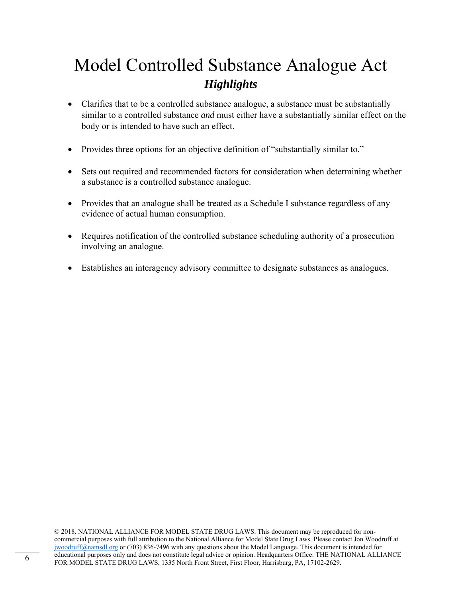## Model Controlled Substance Analogue Act *Highlights*

- Clarifies that to be a controlled substance analogue, a substance must be substantially similar to a controlled substance *and* must either have a substantially similar effect on the body or is intended to have such an effect.
- Provides three options for an objective definition of "substantially similar to."
- Sets out required and recommended factors for consideration when determining whether a substance is a controlled substance analogue.
- Provides that an analogue shall be treated as a Schedule I substance regardless of any evidence of actual human consumption.
- Requires notification of the controlled substance scheduling authority of a prosecution involving an analogue.
- Establishes an interagency advisory committee to designate substances as analogues.

© 2018. NATIONAL ALLIANCE FOR MODEL STATE DRUG LAWS. This document may be reproduced for noncommercial purposes with full attribution to the National Alliance for Model State Drug Laws. Please contact Jon Woodruff at jwoodruff@namsdl.org or (703) 836-7496 with any questions about the Model Language. This document is intended for educational purposes only and does not constitute legal advice or opinion. Headquarters Office: THE NATIONAL ALLIANCE FOR MODEL STATE DRUG LAWS, 1335 North Front Street, First Floor, Harrisburg, PA, 17102-2629.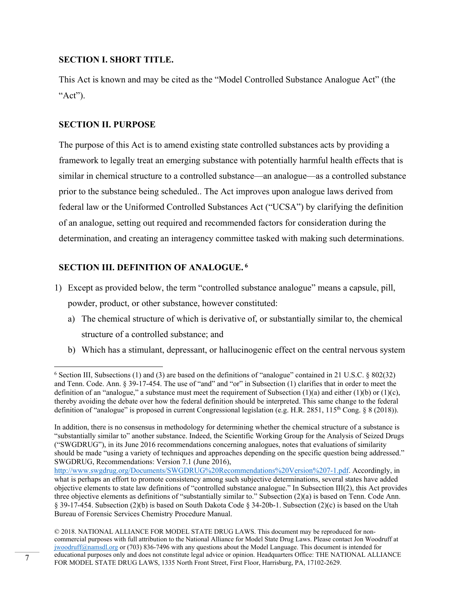#### **SECTION I. SHORT TITLE.**

This Act is known and may be cited as the "Model Controlled Substance Analogue Act" (the " $Act$ ").

#### **SECTION II. PURPOSE**

The purpose of this Act is to amend existing state controlled substances acts by providing a framework to legally treat an emerging substance with potentially harmful health effects that is similar in chemical structure to a controlled substance—an analogue—as a controlled substance prior to the substance being scheduled.. The Act improves upon analogue laws derived from federal law or the Uniformed Controlled Substances Act ("UCSA") by clarifying the definition of an analogue, setting out required and recommended factors for consideration during the determination, and creating an interagency committee tasked with making such determinations.

#### **SECTION III. DEFINITION OF ANALOGUE. 6**

- 1) Except as provided below, the term "controlled substance analogue" means a capsule, pill, powder, product, or other substance, however constituted:
	- a) The chemical structure of which is derivative of, or substantially similar to, the chemical structure of a controlled substance; and
	- b) Which has a stimulant, depressant, or hallucinogenic effect on the central nervous system

 <sup>6</sup> Section III, Subsections (1) and (3) are based on the definitions of "analogue" contained in 21 U.S.C. § 802(32) and Tenn. Code. Ann. § 39-17-454. The use of "and" and "or" in Subsection (1) clarifies that in order to meet the definition of an "analogue," a substance must meet the requirement of Subsection  $(1)(a)$  and either  $(1)(b)$  or  $(1)(c)$ , thereby avoiding the debate over how the federal definition should be interpreted. This same change to the federal definition of "analogue" is proposed in current Congressional legislation (e.g. H.R. 2851, 115<sup>th</sup> Cong. § 8 (2018)).

In addition, there is no consensus in methodology for determining whether the chemical structure of a substance is "substantially similar to" another substance. Indeed, the Scientific Working Group for the Analysis of Seized Drugs ("SWGDRUG"), in its June 2016 recommendations concerning analogues, notes that evaluations of similarity should be made "using a variety of techniques and approaches depending on the specific question being addressed." SWGDRUG, Recommendations: Version 7.1 (June 2016),

http://www.swgdrug.org/Documents/SWGDRUG%20Recommendations%20Version%207-1.pdf. Accordingly, in what is perhaps an effort to promote consistency among such subjective determinations, several states have added objective elements to state law definitions of "controlled substance analogue." In Subsection III(2), this Act provides three objective elements as definitions of "substantially similar to." Subsection (2)(a) is based on Tenn. Code Ann. § 39-17-454. Subsection (2)(b) is based on South Dakota Code § 34-20b-1. Subsection (2)(c) is based on the Utah Bureau of Forensic Services Chemistry Procedure Manual.

<sup>© 2018.</sup> NATIONAL ALLIANCE FOR MODEL STATE DRUG LAWS. This document may be reproduced for noncommercial purposes with full attribution to the National Alliance for Model State Drug Laws. Please contact Jon Woodruff at jwoodruff@namsdl.org or (703) 836-7496 with any questions about the Model Language. This document is intended for educational purposes only and does not constitute legal advice or opinion. Headquarters Office: THE NATIONAL ALLIANCE For equicational purposes only and does not constitute legal advice or opinion. Headquarters Office: THE NATE<br>FOR MODEL STATE DRUG LAWS, 1335 North Front Street, First Floor, Harrisburg, PA, 17102-2629.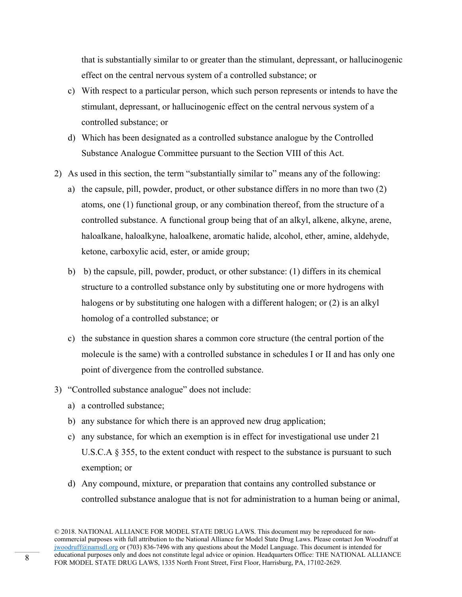that is substantially similar to or greater than the stimulant, depressant, or hallucinogenic effect on the central nervous system of a controlled substance; or

- c) With respect to a particular person, which such person represents or intends to have the stimulant, depressant, or hallucinogenic effect on the central nervous system of a controlled substance; or
- d) Which has been designated as a controlled substance analogue by the Controlled Substance Analogue Committee pursuant to the Section VIII of this Act.
- 2) As used in this section, the term "substantially similar to" means any of the following:
	- a) the capsule, pill, powder, product, or other substance differs in no more than two (2) atoms, one (1) functional group, or any combination thereof, from the structure of a controlled substance. A functional group being that of an alkyl, alkene, alkyne, arene, haloalkane, haloalkyne, haloalkene, aromatic halide, alcohol, ether, amine, aldehyde, ketone, carboxylic acid, ester, or amide group;
	- b) b) the capsule, pill, powder, product, or other substance: (1) differs in its chemical structure to a controlled substance only by substituting one or more hydrogens with halogens or by substituting one halogen with a different halogen; or (2) is an alkyl homolog of a controlled substance; or
	- c) the substance in question shares a common core structure (the central portion of the molecule is the same) with a controlled substance in schedules I or II and has only one point of divergence from the controlled substance.
- 3) "Controlled substance analogue" does not include:
	- a) a controlled substance;
	- b) any substance for which there is an approved new drug application;
	- c) any substance, for which an exemption is in effect for investigational use under 21 U.S.C.A § 355, to the extent conduct with respect to the substance is pursuant to such exemption; or
	- d) Any compound, mixture, or preparation that contains any controlled substance or controlled substance analogue that is not for administration to a human being or animal,

<sup>© 2018.</sup> NATIONAL ALLIANCE FOR MODEL STATE DRUG LAWS. This document may be reproduced for noncommercial purposes with full attribution to the National Alliance for Model State Drug Laws. Please contact Jon Woodruff at jwoodruff@namsdl.org or (703) 836-7496 with any questions about the Model Language. This document is intended for educational purposes only and does not constitute legal advice or opinion. Headquarters Office: THE NATIONAL ALLIANCE FOR MODEL STATE DRUG LAWS, 1335 North Front Street, First Floor, Harrisburg, PA, 17102-2629.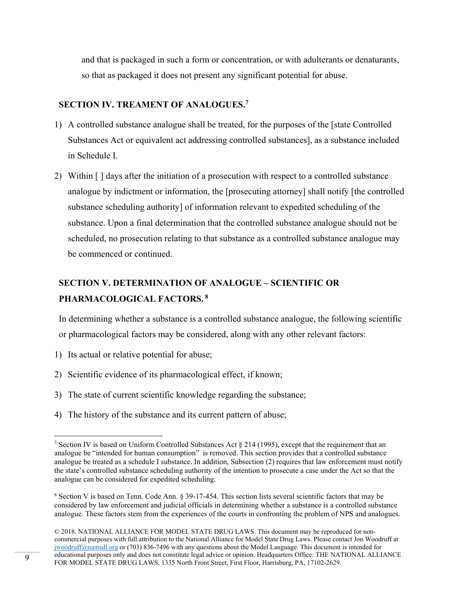and that is packaged in such a form or concentration, or with adulterants or denaturants, so that as packaged it does not present any significant potential for abuse.

#### **SECTION IV. TREAMENT OF ANALOGUES.7**

- 1) A controlled substance analogue shall be treated, for the purposes of the [state Controlled Substances Act or equivalent act addressing controlled substances], as a substance included in Schedule I.
- 2) Within [ ] days after the initiation of a prosecution with respect to a controlled substance analogue by indictment or information, the [prosecuting attorney] shall notify [the controlled substance scheduling authority] of information relevant to expedited scheduling of the substance. Upon a final determination that the controlled substance analogue should not be scheduled, no prosecution relating to that substance as a controlled substance analogue may be commenced or continued.

### **SECTION V. DETERMINATION OF ANALOGUE – SCIENTIFIC OR PHARMACOLOGICAL FACTORS. 8**

In determining whether a substance is a controlled substance analogue, the following scientific or pharmacological factors may be considered, along with any other relevant factors:

1) Its actual or relative potential for abuse;

- 2) Scientific evidence of its pharmacological effect, if known;
- 3) The state of current scientific knowledge regarding the substance;
- 4) The history of the substance and its current pattern of abuse;

<sup>&</sup>lt;sup>7</sup> Section IV is based on Uniform Controlled Substances Act  $\S 214 (1995)$ , except that the requirement that an analogue be "intended for human consumption" is removed. This section provides that a controlled substance analogue be treated as a schedule I substance. In addition, Subsection (2) requires that law enforcement must notify the state's controlled substance scheduling authority of the intention to prosecute a case under the Act so that the analogue can be considered for expedited scheduling.

<sup>8</sup> Section V is based on Tenn. Code Ann. § 39-17-454. This section lists several scientific factors that may be considered by law enforcement and judicial officials in determining whether a substance is a controlled substance analogue. These factors stem from the experiences of the courts in confronting the problem of NPS and analogues.

<sup>© 2018.</sup> NATIONAL ALLIANCE FOR MODEL STATE DRUG LAWS. This document may be reproduced for noncommercial purposes with full attribution to the National Alliance for Model State Drug Laws. Please contact Jon Woodruff at jwoodruff@namsdl.org or (703) 836-7496 with any questions about the Model Language. This document is intended for educational purposes only and does not constitute legal advice or opinion. Headquarters Office: THE NATIONAL ALLIANCE educational purposes only and does not constitute legal advice or opinion. Headquarters Office: THE NATE<br>FOR MODEL STATE DRUG LAWS, 1335 North Front Street, First Floor, Harrisburg, PA, 17102-2629.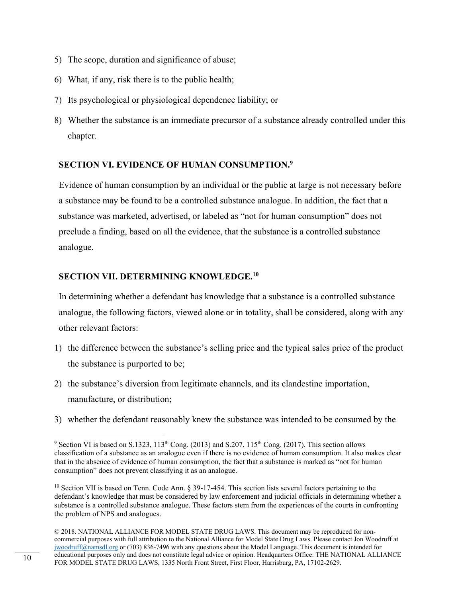- 5) The scope, duration and significance of abuse;
- 6) What, if any, risk there is to the public health;
- 7) Its psychological or physiological dependence liability; or
- 8) Whether the substance is an immediate precursor of a substance already controlled under this chapter.

#### **SECTION VI. EVIDENCE OF HUMAN CONSUMPTION.9**

Evidence of human consumption by an individual or the public at large is not necessary before a substance may be found to be a controlled substance analogue. In addition, the fact that a substance was marketed, advertised, or labeled as "not for human consumption" does not preclude a finding, based on all the evidence, that the substance is a controlled substance analogue.

#### **SECTION VII. DETERMINING KNOWLEDGE.10**

In determining whether a defendant has knowledge that a substance is a controlled substance analogue, the following factors, viewed alone or in totality, shall be considered, along with any other relevant factors:

- 1) the difference between the substance's selling price and the typical sales price of the product the substance is purported to be;
- 2) the substance's diversion from legitimate channels, and its clandestine importation, manufacture, or distribution;
- 3) whether the defendant reasonably knew the substance was intended to be consumed by the

<sup>&</sup>lt;sup>9</sup> Section VI is based on S.1323, 113<sup>th</sup> Cong. (2013) and S.207, 115<sup>th</sup> Cong. (2017). This section allows classification of a substance as an analogue even if there is no evidence of human consumption. It also makes clear that in the absence of evidence of human consumption, the fact that a substance is marked as "not for human consumption" does not prevent classifying it as an analogue.

<sup>&</sup>lt;sup>10</sup> Section VII is based on Tenn. Code Ann. § 39-17-454. This section lists several factors pertaining to the defendant's knowledge that must be considered by law enforcement and judicial officials in determining whether a substance is a controlled substance analogue. These factors stem from the experiences of the courts in confronting the problem of NPS and analogues.

<sup>© 2018.</sup> NATIONAL ALLIANCE FOR MODEL STATE DRUG LAWS. This document may be reproduced for noncommercial purposes with full attribution to the National Alliance for Model State Drug Laws. Please contact Jon Woodruff at jwoodruff@namsdl.org or (703) 836-7496 with any questions about the Model Language. This document is intended for educational purposes only and does not constitute legal advice or opinion. Headquarters Office: THE NATIONAL ALLIANCE FOR MODEL STATE DRUG LAWS, 1335 North Front Street, First Floor, Harrisburg, PA, 17102-2629.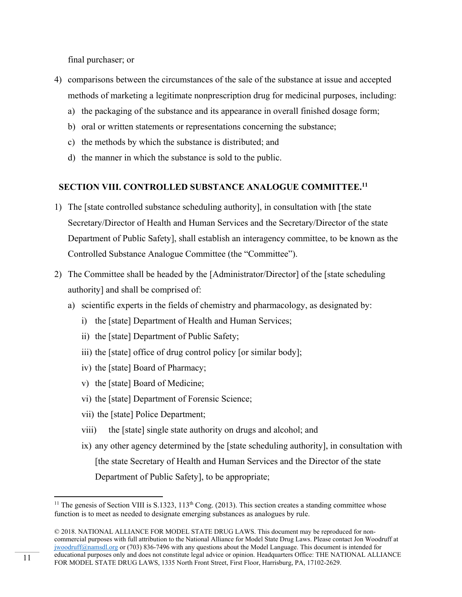final purchaser; or

- 4) comparisons between the circumstances of the sale of the substance at issue and accepted methods of marketing a legitimate nonprescription drug for medicinal purposes, including:
	- a) the packaging of the substance and its appearance in overall finished dosage form;
	- b) oral or written statements or representations concerning the substance;
	- c) the methods by which the substance is distributed; and
	- d) the manner in which the substance is sold to the public.

#### **SECTION VIII. CONTROLLED SUBSTANCE ANALOGUE COMMITTEE.11**

- 1) The [state controlled substance scheduling authority], in consultation with [the state Secretary/Director of Health and Human Services and the Secretary/Director of the state Department of Public Safety], shall establish an interagency committee, to be known as the Controlled Substance Analogue Committee (the "Committee").
- 2) The Committee shall be headed by the [Administrator/Director] of the [state scheduling authority] and shall be comprised of:
	- a) scientific experts in the fields of chemistry and pharmacology, as designated by:
		- i) the [state] Department of Health and Human Services;
		- ii) the [state] Department of Public Safety;
		- iii) the [state] office of drug control policy [or similar body];
		- iv) the [state] Board of Pharmacy;
		- v) the [state] Board of Medicine;
		- vi) the [state] Department of Forensic Science;
		- vii) the [state] Police Department;

- viii) the [state] single state authority on drugs and alcohol; and
- ix) any other agency determined by the [state scheduling authority], in consultation with [the state Secretary of Health and Human Services and the Director of the state Department of Public Safety], to be appropriate;

<sup>&</sup>lt;sup>11</sup> The genesis of Section VIII is S.1323,  $113<sup>th</sup>$  Cong. (2013). This section creates a standing committee whose function is to meet as needed to designate emerging substances as analogues by rule.

<sup>© 2018.</sup> NATIONAL ALLIANCE FOR MODEL STATE DRUG LAWS. This document may be reproduced for noncommercial purposes with full attribution to the National Alliance for Model State Drug Laws. Please contact Jon Woodruff at jwoodruff@namsdl.org or (703) 836-7496 with any questions about the Model Language. This document is intended for educational purposes only and does not constitute legal advice or opinion. Headquarters Office: THE NATIONAL ALLIANCE FOR MODEL STATE DRUG LAWS, 1335 North Front Street, First Floor, Harrisburg, PA, 17102-2629.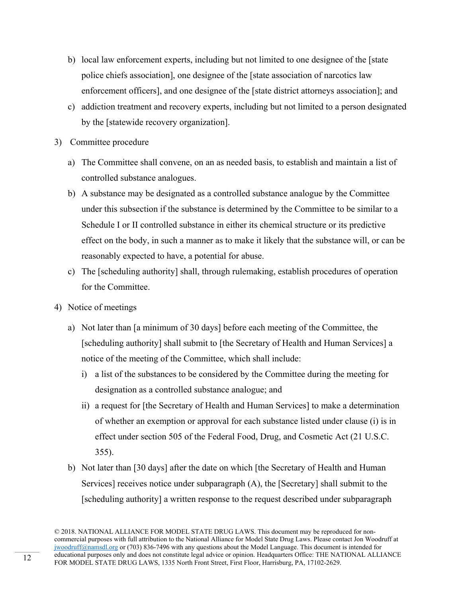- b) local law enforcement experts, including but not limited to one designee of the [state police chiefs association], one designee of the [state association of narcotics law enforcement officers], and one designee of the [state district attorneys association]; and
- c) addiction treatment and recovery experts, including but not limited to a person designated by the [statewide recovery organization].
- 3) Committee procedure
	- a) The Committee shall convene, on an as needed basis, to establish and maintain a list of controlled substance analogues.
	- b) A substance may be designated as a controlled substance analogue by the Committee under this subsection if the substance is determined by the Committee to be similar to a Schedule I or II controlled substance in either its chemical structure or its predictive effect on the body, in such a manner as to make it likely that the substance will, or can be reasonably expected to have, a potential for abuse.
	- c) The [scheduling authority] shall, through rulemaking, establish procedures of operation for the Committee.
- 4) Notice of meetings
	- a) Not later than [a minimum of 30 days] before each meeting of the Committee, the [scheduling authority] shall submit to [the Secretary of Health and Human Services] a notice of the meeting of the Committee, which shall include:
		- i) a list of the substances to be considered by the Committee during the meeting for designation as a controlled substance analogue; and
		- ii) a request for [the Secretary of Health and Human Services] to make a determination of whether an exemption or approval for each substance listed under clause (i) is in effect under section 505 of the Federal Food, Drug, and Cosmetic Act (21 U.S.C. 355).
	- b) Not later than [30 days] after the date on which [the Secretary of Health and Human Services] receives notice under subparagraph (A), the [Secretary] shall submit to the [scheduling authority] a written response to the request described under subparagraph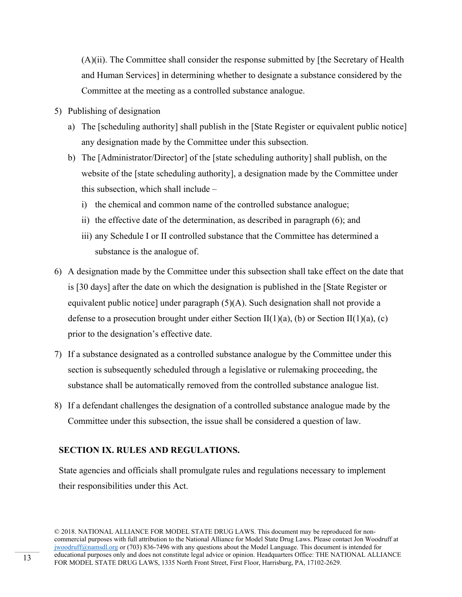(A)(ii). The Committee shall consider the response submitted by [the Secretary of Health and Human Services] in determining whether to designate a substance considered by the Committee at the meeting as a controlled substance analogue.

- 5) Publishing of designation
	- a) The [scheduling authority] shall publish in the [State Register or equivalent public notice] any designation made by the Committee under this subsection.
	- b) The [Administrator/Director] of the [state scheduling authority] shall publish, on the website of the [state scheduling authority], a designation made by the Committee under this subsection, which shall include –
		- i) the chemical and common name of the controlled substance analogue;
		- ii) the effective date of the determination, as described in paragraph (6); and
		- iii) any Schedule I or II controlled substance that the Committee has determined a substance is the analogue of.
- 6) A designation made by the Committee under this subsection shall take effect on the date that is [30 days] after the date on which the designation is published in the [State Register or equivalent public notice] under paragraph  $(5)(A)$ . Such designation shall not provide a defense to a prosecution brought under either Section II(1)(a), (b) or Section II(1)(a), (c) prior to the designation's effective date.
- 7) If a substance designated as a controlled substance analogue by the Committee under this section is subsequently scheduled through a legislative or rulemaking proceeding, the substance shall be automatically removed from the controlled substance analogue list.
- 8) If a defendant challenges the designation of a controlled substance analogue made by the Committee under this subsection, the issue shall be considered a question of law.

#### **SECTION IX. RULES AND REGULATIONS.**

State agencies and officials shall promulgate rules and regulations necessary to implement their responsibilities under this Act.

<sup>© 2018.</sup> NATIONAL ALLIANCE FOR MODEL STATE DRUG LAWS. This document may be reproduced for noncommercial purposes with full attribution to the National Alliance for Model State Drug Laws. Please contact Jon Woodruff at jwoodruff@namsdl.org or (703) 836-7496 with any questions about the Model Language. This document is intended for educational purposes only and does not constitute legal advice or opinion. Headquarters Office: THE NATIONAL ALLIANCE Formal purposes only and does not constitute legal advice or opinion. Headquarters Office: The NATE NATE DRUG LAWS, 1335 North Front Street, First Floor, Harrisburg, PA, 17102-2629.